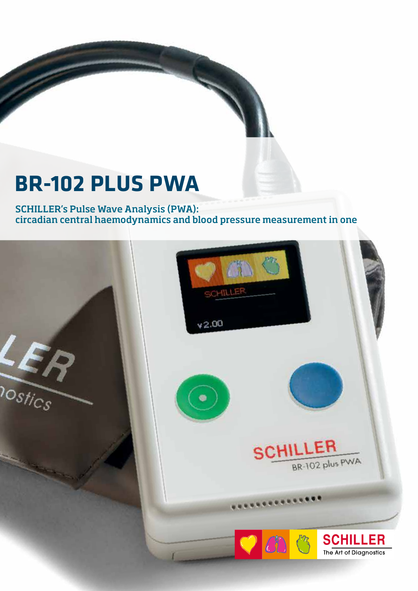## **BR-102 PLUS PWA**

SCHILLER's Pulse Wave Analysis (PWA): circadian central haemodynamics and blood pressure measurement in one

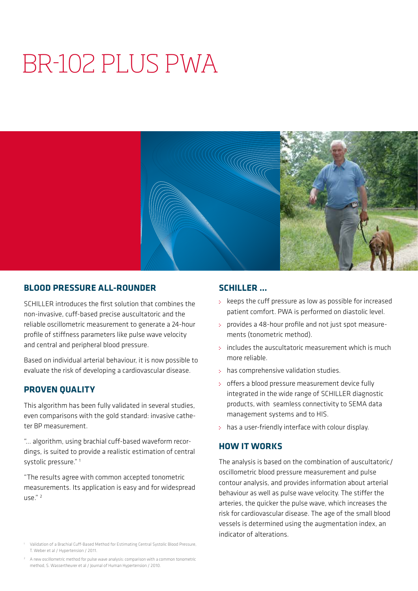# BR-102 PLUS PWA



## **BLOOD PRESSURE ALL-ROUNDER**

SCHILLER introduces the first solution that combines the non-invasive, cuff-based precise auscultatoric and the reliable oscillometric measurement to generate a 24-hour profile of stiffness parameters like pulse wave velocity and central and peripheral blood pressure.

Based on individual arterial behaviour, it is now possible to evaluate the risk of developing a cardiovascular disease.

## **PROVEN QUALITY**

This algorithm has been fully validated in several studies, even comparisons with the gold standard: invasive catheter BP measurement.

"... algorithm, using brachial cuff-based waveform recordings, is suited to provide a realistic estimation of central systolic pressure."<sup>1</sup>

"The results agree with common accepted tonometric measurements. Its application is easy and for widespread  $\mathsf{HSE}^{\prime\prime}$ <sup>2</sup>

#### <sup>1</sup> Validation of a Brachial Cuff-Based Method for Estimating Central Systolic Blood Pressure, T. Weber et al / Hypertension / 2011.

<sup>2</sup> A new oscillometric method for pulse wave analysis: comparison with a common tonometric method, S. Wassertheurer et al / Journal of Human Hypertension / 2010.

## **SCHILLER …**

- $\therefore$  keeps the cuff pressure as low as possible for increased patient comfort. PWA is performed on diastolic level.
- provides a 48-hour profile and not just spot measurements (tonometric method).
- includes the auscultatoric measurement which is much more reliable.
- : has comprehensive validation studies.
- offers a blood pressure measurement device fully integrated in the wide range of SCHILLER diagnostic products, with seamless connectivity to SEMA data management systems and to HIS.
- has a user-friendly interface with colour display.

## **HOW IT WORKS**

The analysis is based on the combination of auscultatoric/ oscillometric blood pressure measurement and pulse contour analysis, and provides information about arterial behaviour as well as pulse wave velocity. The stiffer the arteries, the quicker the pulse wave, which increases the risk for cardiovascular disease. The age of the small blood vessels is determined using the augmentation index, an indicator of alterations.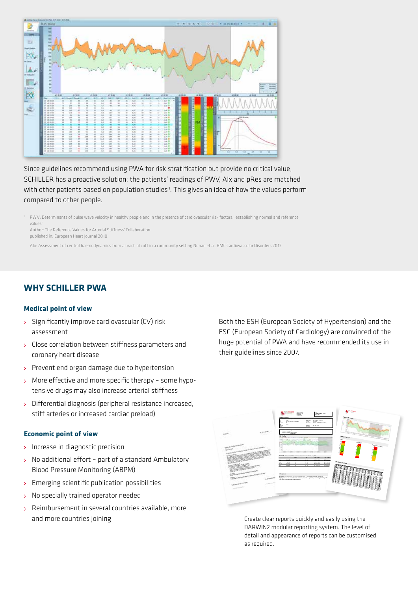

Since guidelines recommend using PWA for risk stratification but provide no critical value, SCHILLER has a proactive solution: the patients' readings of PWV, AIx and pRes are matched with other patients based on population studies<sup>1</sup>. This gives an idea of how the values perform compared to other people.

<sup>1</sup> PWV: Determinants of pulse wave velocity in healthy people and in the presence of cardiovascular risk factors: 'establishing normal and reference values'

Author: The Reference Values for Arterial Stiffness' Collaboration published in: European Heart Journal 2010

AIx: Assessment of central haemodynamics from a brachial cuff in a community setting Nunan et al. BMC Cardiovascular Disorders 2012

## **WHY SCHILLER PWA**

#### **Medical point of view**

- : Significantly improve cardiovascular (CV) risk assessment
- Close correlation between stiffness parameters and coronary heart disease
- Prevent end organ damage due to hypertension
- More effective and more specific therapy some hypotensive drugs may also increase arterial stiffness
- Differential diagnosis (peripheral resistance increased, stiff arteries or increased cardiac preload)

#### **Economic point of view**

- : Increase in diagnostic precision
- No additional effort part of a standard Ambulatory Blood Pressure Monitoring (ABPM)
- Emerging scientific publication possibilities
- No specially trained operator needed s.
- Reimbursement in several countries available, more and more countries joining

Both the ESH (European Society of Hypertension) and the ESC (European Society of Cardiology) are convinced of the huge potential of PWA and have recommended its use in their guidelines since 2007.



Create clear reports quickly and easily using the DARWIN2 modular reporting system. The level of detail and appearance of reports can be customised as required.